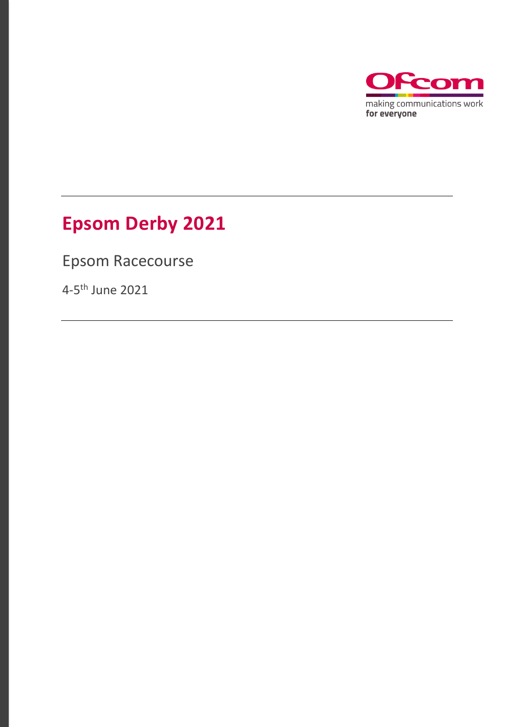

# **Epsom Derby 2021**

Epsom Racecourse

4-5<sup>th</sup> June 2021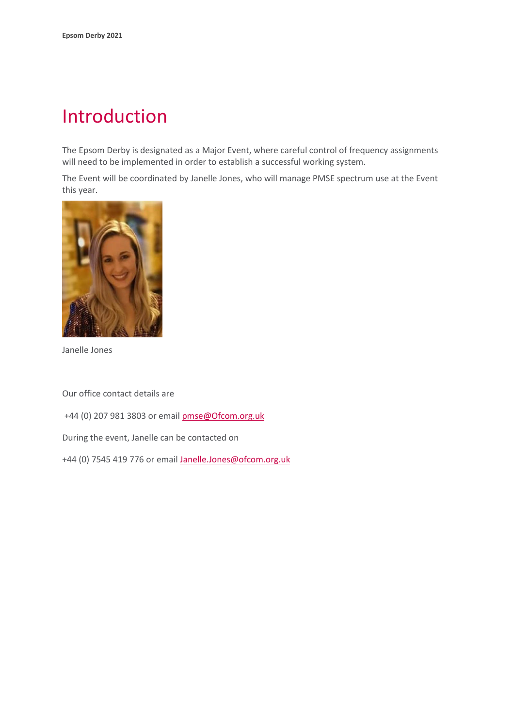## Introduction

The Epsom Derby is designated as a Major Event, where careful control of frequency assignments will need to be implemented in order to establish a successful working system.

The Event will be coordinated by Janelle Jones, who will manage PMSE spectrum use at the Event this year.



Janelle Jones

Our office contact details are

+44 (0) 207 981 3803 or emai[l pmse@Ofcom.org.uk](mailto:pmse@arqiva.com)

During the event, Janelle can be contacted on

+44 (0) 7545 419 776 or email Janelle.Jones@ofcom.org.uk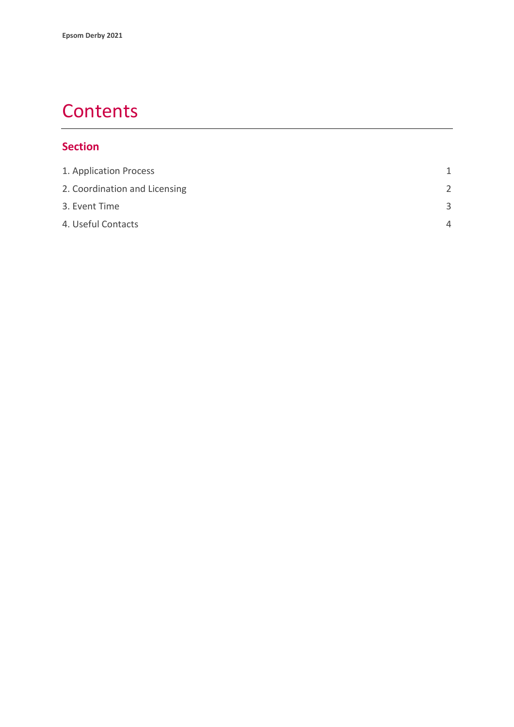## **Contents**

#### **Section**

| 1. Application Process        | 1             |
|-------------------------------|---------------|
| 2. Coordination and Licensing | $\mathcal{P}$ |
| 3. Event Time                 | $\mathbf{R}$  |
| 4. Useful Contacts            | Δ             |
|                               |               |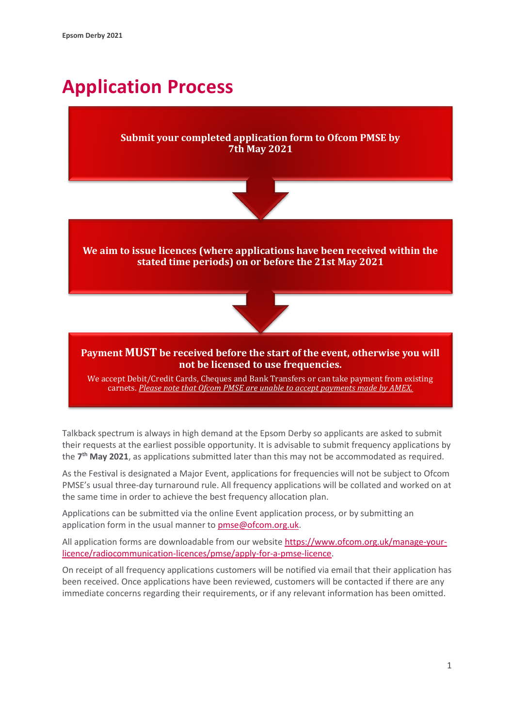# <span id="page-3-0"></span>**Application Process**

#### **Submit your completed application form to Ofcom PMSE by 7th May 2021**



**We aim to issue licences (where applications have been received within the stated time periods) on or before the 21st May 2021**



#### **Payment MUST be received before the start of the event, otherwise you will not be licensed to use frequencies.**

We accept Debit/Credit Cards, Cheques and Bank Transfers or can take payment from existing carnets. *Please note that Ofcom PMSE are unable to accept payments made by AMEX.*

Talkback spectrum is always in high demand at the Epsom Derby so applicants are asked to submit their requests at the earliest possible opportunity. It is advisable to submit frequency applications by the **7 th May 2021**, as applications submitted later than this may not be accommodated as required.

As the Festival is designated a Major Event, applications for frequencies will not be subject to Ofcom PMSE's usual three-day turnaround rule. All frequency applications will be collated and worked on at the same time in order to achieve the best frequency allocation plan.

Applications can be submitted via the online Event application process, or by submitting an application form in the usual manner to [pmse@ofcom.org.uk.](mailto:pmse@ofcom.org.uk)

All application forms are downloadable from our websit[e https://www.ofcom.org.uk/manage-your](https://www.ofcom.org.uk/manage-your-licence/radiocommunication-licences/pmse/apply-for-a-pmse-licence)[licence/radiocommunication-licences/pmse/apply-for-a-pmse-licence.](https://www.ofcom.org.uk/manage-your-licence/radiocommunication-licences/pmse/apply-for-a-pmse-licence)

On receipt of all frequency applications customers will be notified via email that their application has been received. Once applications have been reviewed, customers will be contacted if there are any immediate concerns regarding their requirements, or if any relevant information has been omitted.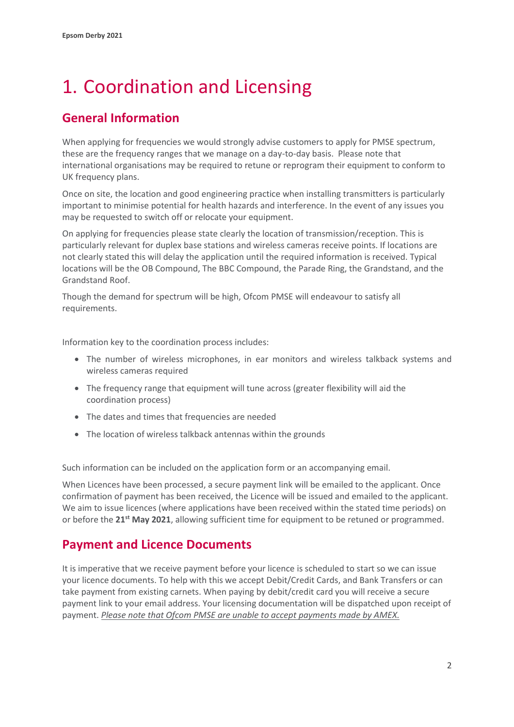# <span id="page-4-0"></span>1. Coordination and Licensing

### **General Information**

When applying for frequencies we would strongly advise customers to apply for PMSE spectrum, these are the frequency ranges that we manage on a day-to-day basis. Please note that international organisations may be required to retune or reprogram their equipment to conform to UK frequency plans.

Once on site, the location and good engineering practice when installing transmitters is particularly important to minimise potential for health hazards and interference. In the event of any issues you may be requested to switch off or relocate your equipment.

On applying for frequencies please state clearly the location of transmission/reception. This is particularly relevant for duplex base stations and wireless cameras receive points. If locations are not clearly stated this will delay the application until the required information is received. Typical locations will be the OB Compound, The BBC Compound, the Parade Ring, the Grandstand, and the Grandstand Roof.

Though the demand for spectrum will be high, Ofcom PMSE will endeavour to satisfy all requirements.

Information key to the coordination process includes:

- The number of wireless microphones, in ear monitors and wireless talkback systems and wireless cameras required
- The frequency range that equipment will tune across (greater flexibility will aid the coordination process)
- The dates and times that frequencies are needed
- The location of wireless talkback antennas within the grounds

Such information can be included on the application form or an accompanying email.

When Licences have been processed, a secure payment link will be emailed to the applicant. Once confirmation of payment has been received, the Licence will be issued and emailed to the applicant. We aim to issue licences (where applications have been received within the stated time periods) on or before the 21<sup>st</sup> May 2021, allowing sufficient time for equipment to be retuned or programmed.

### **Payment and Licence Documents**

It is imperative that we receive payment before your licence is scheduled to start so we can issue your licence documents. To help with this we accept Debit/Credit Cards, and Bank Transfers or can take payment from existing carnets. When paying by debit/credit card you will receive a secure payment link to your email address. Your licensing documentation will be dispatched upon receipt of payment. *Please note that Ofcom PMSE are unable to accept payments made by AMEX.*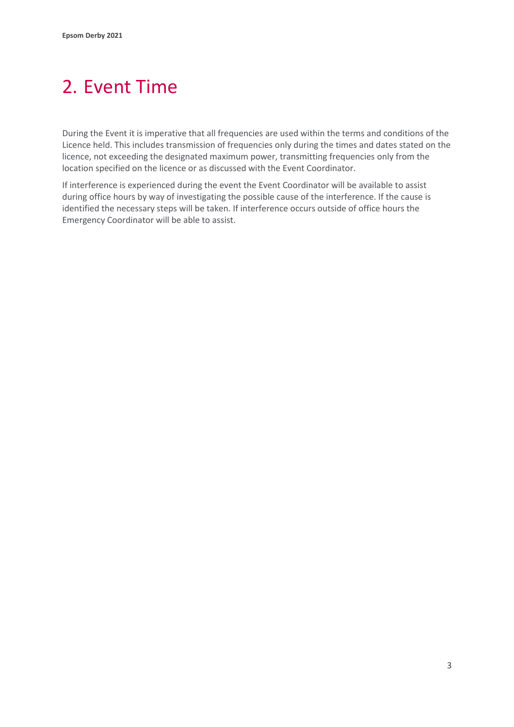# <span id="page-5-0"></span>2. Event Time

During the Event it is imperative that all frequencies are used within the terms and conditions of the Licence held. This includes transmission of frequencies only during the times and dates stated on the licence, not exceeding the designated maximum power, transmitting frequencies only from the location specified on the licence or as discussed with the Event Coordinator.

If interference is experienced during the event the Event Coordinator will be available to assist during office hours by way of investigating the possible cause of the interference. If the cause is identified the necessary steps will be taken. If interference occurs outside of office hours the Emergency Coordinator will be able to assist.